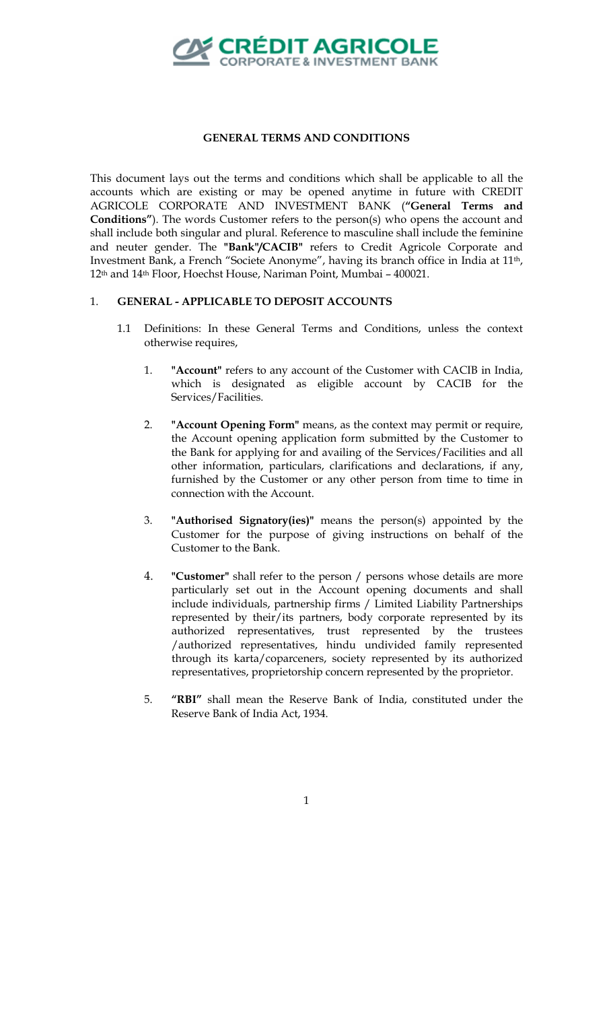

## **GENERAL TERMS AND CONDITIONS**

This document lays out the terms and conditions which shall be applicable to all the accounts which are existing or may be opened anytime in future with CREDIT AGRICOLE CORPORATE AND INVESTMENT BANK (**"General Terms and Conditions"**). The words Customer refers to the person(s) who opens the account and shall include both singular and plural. Reference to masculine shall include the feminine and neuter gender. The **"Bank"/CACIB"** refers to Credit Agricole Corporate and Investment Bank, a French "Societe Anonyme", having its branch office in India at 11th, 12th and 14th Floor, Hoechst House, Nariman Point, Mumbai – 400021.

## 1. **GENERAL - APPLICABLE TO DEPOSIT ACCOUNTS**

- 1.1 Definitions: In these General Terms and Conditions, unless the context otherwise requires,
	- 1. **"Account"** refers to any account of the Customer with CACIB in India, which is designated as eligible account by CACIB for the Services/Facilities.
	- 2. **"Account Opening Form"** means, as the context may permit or require, the Account opening application form submitted by the Customer to the Bank for applying for and availing of the Services/Facilities and all other information, particulars, clarifications and declarations, if any, furnished by the Customer or any other person from time to time in connection with the Account.
	- 3. **"Authorised Signatory(ies)"** means the person(s) appointed by the Customer for the purpose of giving instructions on behalf of the Customer to the Bank.
	- 4. **"Customer"** shall refer to the person / persons whose details are more particularly set out in the Account opening documents and shall include individuals, partnership firms / Limited Liability Partnerships represented by their/its partners, body corporate represented by its authorized representatives, trust represented by the trustees /authorized representatives, hindu undivided family represented through its karta/coparceners, society represented by its authorized representatives, proprietorship concern represented by the proprietor.
	- 5. **"RBI"** shall mean the Reserve Bank of India, constituted under the Reserve Bank of India Act, 1934.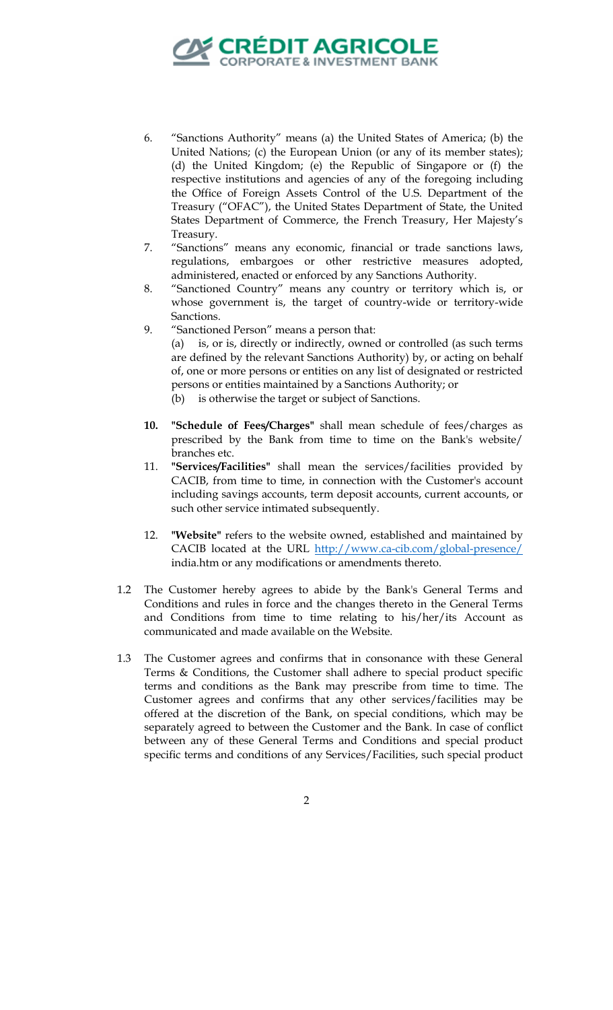

- 6. "Sanctions Authority" means (a) the United States of America; (b) the United Nations; (c) the European Union (or any of its member states); (d) the United Kingdom; (e) the Republic of Singapore or (f) the respective institutions and agencies of any of the foregoing including the Office of Foreign Assets Control of the U.S. Department of the Treasury ("OFAC"), the United States Department of State, the United States Department of Commerce, the French Treasury, Her Majesty's Treasury.
- 7. "Sanctions" means any economic, financial or trade sanctions laws, regulations, embargoes or other restrictive measures adopted, administered, enacted or enforced by any Sanctions Authority.
- 8. "Sanctioned Country" means any country or territory which is, or whose government is, the target of country-wide or territory-wide Sanctions.
- 9. "Sanctioned Person" means a person that: (a) is, or is, directly or indirectly, owned or controlled (as such terms are defined by the relevant Sanctions Authority) by, or acting on behalf of, one or more persons or entities on any list of designated or restricted persons or entities maintained by a Sanctions Authority; or (b) is otherwise the target or subject of Sanctions.
- **10. "Schedule of Fees/Charges"** shall mean schedule of fees/charges as prescribed by the Bank from time to time on the Bank's website/ branches etc.
- 11. **"Services/Facilities"** shall mean the services/facilities provided by CACIB, from time to time, in connection with the Customer's account including savings accounts, term deposit accounts, current accounts, or such other service intimated subsequently.
- 12. **"Website"** refers to the website owned, established and maintained by CACIB located at the URL http://www.ca-cib.com/global-presence/ india.htm or any modifications or amendments thereto.
- 1.2 The Customer hereby agrees to abide by the Bank's General Terms and Conditions and rules in force and the changes thereto in the General Terms and Conditions from time to time relating to his/her/its Account as communicated and made available on the Website.
- 1.3 The Customer agrees and confirms that in consonance with these General Terms & Conditions, the Customer shall adhere to special product specific terms and conditions as the Bank may prescribe from time to time. The Customer agrees and confirms that any other services/facilities may be offered at the discretion of the Bank, on special conditions, which may be separately agreed to between the Customer and the Bank. In case of conflict between any of these General Terms and Conditions and special product specific terms and conditions of any Services/Facilities, such special product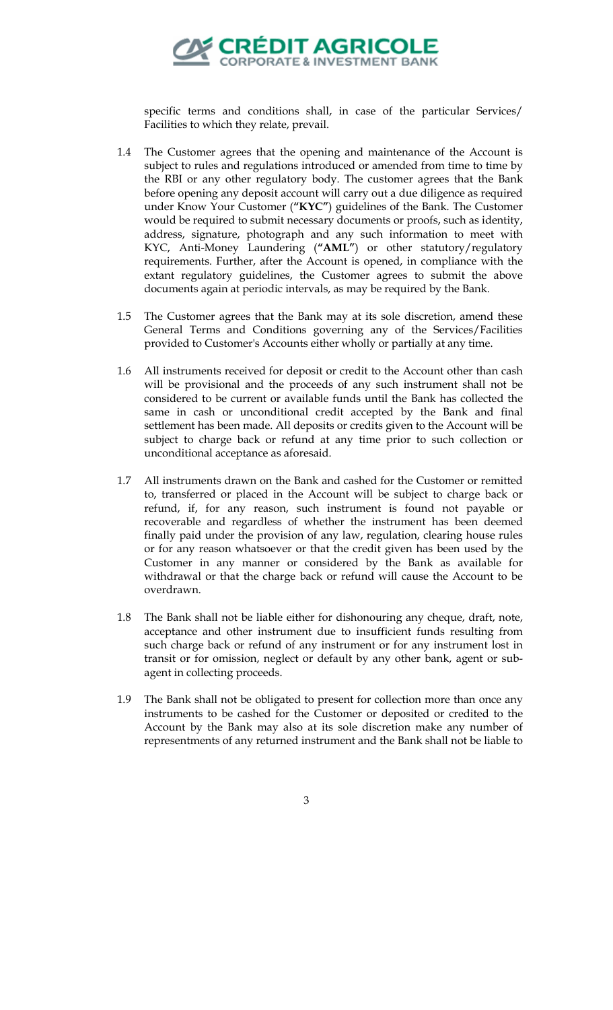

specific terms and conditions shall, in case of the particular Services/ Facilities to which they relate, prevail.

- 1.4 The Customer agrees that the opening and maintenance of the Account is subject to rules and regulations introduced or amended from time to time by the RBI or any other regulatory body. The customer agrees that the Bank before opening any deposit account will carry out a due diligence as required under Know Your Customer (**"KYC"**) guidelines of the Bank. The Customer would be required to submit necessary documents or proofs, such as identity, address, signature, photograph and any such information to meet with KYC, Anti-Money Laundering (**"AML"**) or other statutory/regulatory requirements. Further, after the Account is opened, in compliance with the extant regulatory guidelines, the Customer agrees to submit the above documents again at periodic intervals, as may be required by the Bank.
- 1.5 The Customer agrees that the Bank may at its sole discretion, amend these General Terms and Conditions governing any of the Services/Facilities provided to Customer's Accounts either wholly or partially at any time.
- 1.6 All instruments received for deposit or credit to the Account other than cash will be provisional and the proceeds of any such instrument shall not be considered to be current or available funds until the Bank has collected the same in cash or unconditional credit accepted by the Bank and final settlement has been made. All deposits or credits given to the Account will be subject to charge back or refund at any time prior to such collection or unconditional acceptance as aforesaid.
- 1.7 All instruments drawn on the Bank and cashed for the Customer or remitted to, transferred or placed in the Account will be subject to charge back or refund, if, for any reason, such instrument is found not payable or recoverable and regardless of whether the instrument has been deemed finally paid under the provision of any law, regulation, clearing house rules or for any reason whatsoever or that the credit given has been used by the Customer in any manner or considered by the Bank as available for withdrawal or that the charge back or refund will cause the Account to be overdrawn.
- 1.8 The Bank shall not be liable either for dishonouring any cheque, draft, note, acceptance and other instrument due to insufficient funds resulting from such charge back or refund of any instrument or for any instrument lost in transit or for omission, neglect or default by any other bank, agent or subagent in collecting proceeds.
- 1.9 The Bank shall not be obligated to present for collection more than once any instruments to be cashed for the Customer or deposited or credited to the Account by the Bank may also at its sole discretion make any number of representments of any returned instrument and the Bank shall not be liable to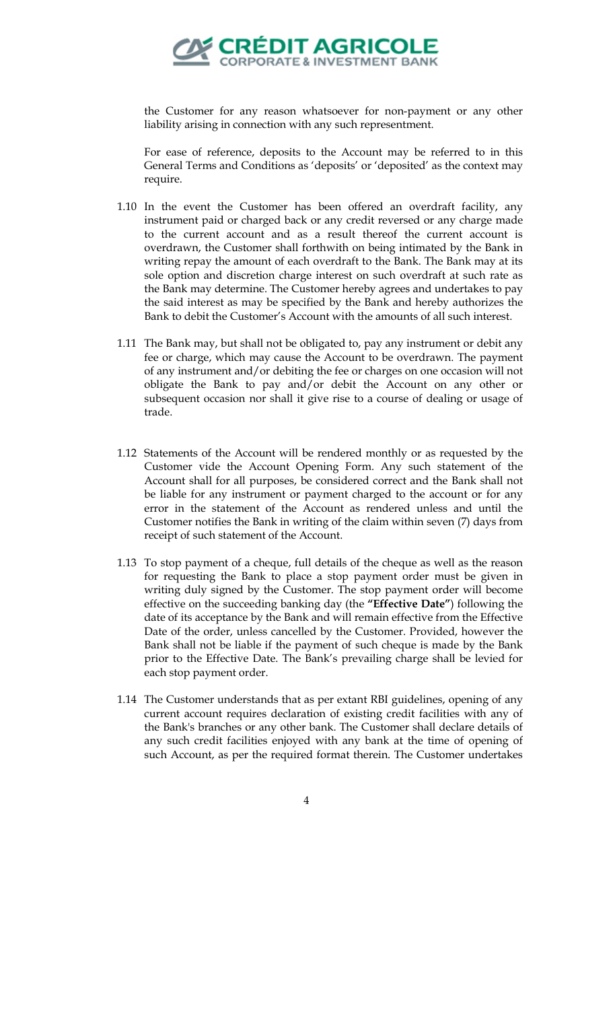

the Customer for any reason whatsoever for non-payment or any other liability arising in connection with any such representment.

For ease of reference, deposits to the Account may be referred to in this General Terms and Conditions as 'deposits' or 'deposited' as the context may require.

- 1.10 In the event the Customer has been offered an overdraft facility, any instrument paid or charged back or any credit reversed or any charge made to the current account and as a result thereof the current account is overdrawn, the Customer shall forthwith on being intimated by the Bank in writing repay the amount of each overdraft to the Bank. The Bank may at its sole option and discretion charge interest on such overdraft at such rate as the Bank may determine. The Customer hereby agrees and undertakes to pay the said interest as may be specified by the Bank and hereby authorizes the Bank to debit the Customer's Account with the amounts of all such interest.
- 1.11 The Bank may, but shall not be obligated to, pay any instrument or debit any fee or charge, which may cause the Account to be overdrawn. The payment of any instrument and/or debiting the fee or charges on one occasion will not obligate the Bank to pay and/or debit the Account on any other or subsequent occasion nor shall it give rise to a course of dealing or usage of trade.
- 1.12 Statements of the Account will be rendered monthly or as requested by the Customer vide the Account Opening Form. Any such statement of the Account shall for all purposes, be considered correct and the Bank shall not be liable for any instrument or payment charged to the account or for any error in the statement of the Account as rendered unless and until the Customer notifies the Bank in writing of the claim within seven (7) days from receipt of such statement of the Account.
- 1.13 To stop payment of a cheque, full details of the cheque as well as the reason for requesting the Bank to place a stop payment order must be given in writing duly signed by the Customer. The stop payment order will become effective on the succeeding banking day (the **"Effective Date"**) following the date of its acceptance by the Bank and will remain effective from the Effective Date of the order, unless cancelled by the Customer. Provided, however the Bank shall not be liable if the payment of such cheque is made by the Bank prior to the Effective Date. The Bank's prevailing charge shall be levied for each stop payment order.
- 1.14 The Customer understands that as per extant RBI guidelines, opening of any current account requires declaration of existing credit facilities with any of the Bank's branches or any other bank. The Customer shall declare details of any such credit facilities enjoyed with any bank at the time of opening of such Account, as per the required format therein. The Customer undertakes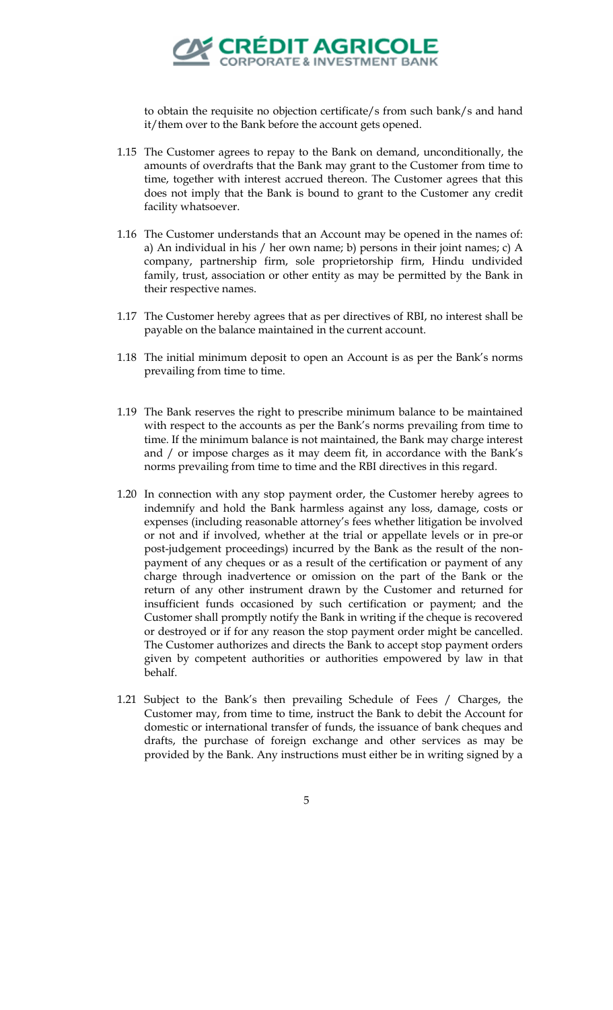

to obtain the requisite no objection certificate/s from such bank/s and hand it/them over to the Bank before the account gets opened.

- 1.15 The Customer agrees to repay to the Bank on demand, unconditionally, the amounts of overdrafts that the Bank may grant to the Customer from time to time, together with interest accrued thereon. The Customer agrees that this does not imply that the Bank is bound to grant to the Customer any credit facility whatsoever.
- 1.16 The Customer understands that an Account may be opened in the names of: a) An individual in his / her own name; b) persons in their joint names; c) A company, partnership firm, sole proprietorship firm, Hindu undivided family, trust, association or other entity as may be permitted by the Bank in their respective names.
- 1.17 The Customer hereby agrees that as per directives of RBI, no interest shall be payable on the balance maintained in the current account.
- 1.18 The initial minimum deposit to open an Account is as per the Bank's norms prevailing from time to time.
- 1.19 The Bank reserves the right to prescribe minimum balance to be maintained with respect to the accounts as per the Bank's norms prevailing from time to time. If the minimum balance is not maintained, the Bank may charge interest and / or impose charges as it may deem fit, in accordance with the Bank's norms prevailing from time to time and the RBI directives in this regard.
- 1.20 In connection with any stop payment order, the Customer hereby agrees to indemnify and hold the Bank harmless against any loss, damage, costs or expenses (including reasonable attorney's fees whether litigation be involved or not and if involved, whether at the trial or appellate levels or in pre-or post-judgement proceedings) incurred by the Bank as the result of the nonpayment of any cheques or as a result of the certification or payment of any charge through inadvertence or omission on the part of the Bank or the return of any other instrument drawn by the Customer and returned for insufficient funds occasioned by such certification or payment; and the Customer shall promptly notify the Bank in writing if the cheque is recovered or destroyed or if for any reason the stop payment order might be cancelled. The Customer authorizes and directs the Bank to accept stop payment orders given by competent authorities or authorities empowered by law in that behalf.
- 1.21 Subject to the Bank's then prevailing Schedule of Fees / Charges, the Customer may, from time to time, instruct the Bank to debit the Account for domestic or international transfer of funds, the issuance of bank cheques and drafts, the purchase of foreign exchange and other services as may be provided by the Bank. Any instructions must either be in writing signed by a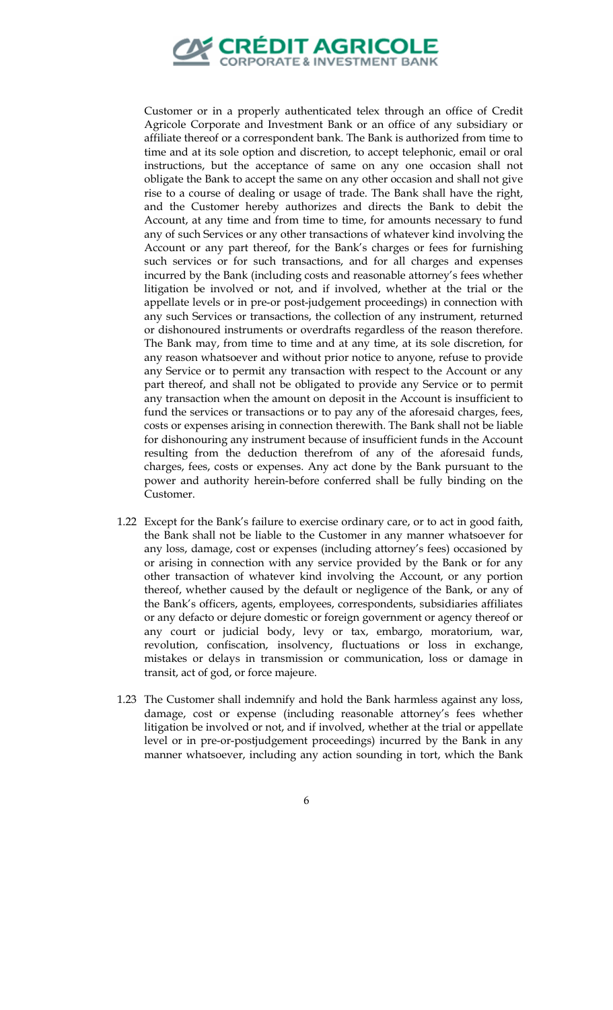

Customer or in a properly authenticated telex through an office of Credit Agricole Corporate and Investment Bank or an office of any subsidiary or affiliate thereof or a correspondent bank. The Bank is authorized from time to time and at its sole option and discretion, to accept telephonic, email or oral instructions, but the acceptance of same on any one occasion shall not obligate the Bank to accept the same on any other occasion and shall not give rise to a course of dealing or usage of trade. The Bank shall have the right, and the Customer hereby authorizes and directs the Bank to debit the Account, at any time and from time to time, for amounts necessary to fund any of such Services or any other transactions of whatever kind involving the Account or any part thereof, for the Bank's charges or fees for furnishing such services or for such transactions, and for all charges and expenses incurred by the Bank (including costs and reasonable attorney's fees whether litigation be involved or not, and if involved, whether at the trial or the appellate levels or in pre-or post-judgement proceedings) in connection with any such Services or transactions, the collection of any instrument, returned or dishonoured instruments or overdrafts regardless of the reason therefore. The Bank may, from time to time and at any time, at its sole discretion, for any reason whatsoever and without prior notice to anyone, refuse to provide any Service or to permit any transaction with respect to the Account or any part thereof, and shall not be obligated to provide any Service or to permit any transaction when the amount on deposit in the Account is insufficient to fund the services or transactions or to pay any of the aforesaid charges, fees, costs or expenses arising in connection therewith. The Bank shall not be liable for dishonouring any instrument because of insufficient funds in the Account resulting from the deduction therefrom of any of the aforesaid funds, charges, fees, costs or expenses. Any act done by the Bank pursuant to the power and authority herein-before conferred shall be fully binding on the Customer.

- 1.22 Except for the Bank's failure to exercise ordinary care, or to act in good faith, the Bank shall not be liable to the Customer in any manner whatsoever for any loss, damage, cost or expenses (including attorney's fees) occasioned by or arising in connection with any service provided by the Bank or for any other transaction of whatever kind involving the Account, or any portion thereof, whether caused by the default or negligence of the Bank, or any of the Bank's officers, agents, employees, correspondents, subsidiaries affiliates or any defacto or dejure domestic or foreign government or agency thereof or any court or judicial body, levy or tax, embargo, moratorium, war, revolution, confiscation, insolvency, fluctuations or loss in exchange, mistakes or delays in transmission or communication, loss or damage in transit, act of god, or force majeure.
- 1.23 The Customer shall indemnify and hold the Bank harmless against any loss, damage, cost or expense (including reasonable attorney's fees whether litigation be involved or not, and if involved, whether at the trial or appellate level or in pre-or-postjudgement proceedings) incurred by the Bank in any manner whatsoever, including any action sounding in tort, which the Bank
	- 6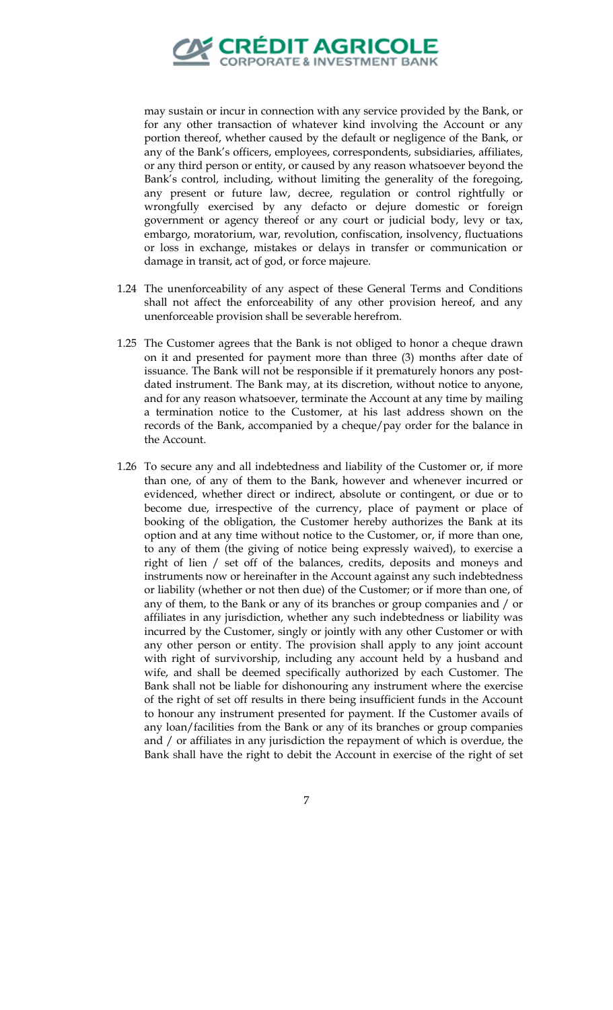

may sustain or incur in connection with any service provided by the Bank, or for any other transaction of whatever kind involving the Account or any portion thereof, whether caused by the default or negligence of the Bank, or any of the Bank's officers, employees, correspondents, subsidiaries, affiliates, or any third person or entity, or caused by any reason whatsoever beyond the Bank's control, including, without limiting the generality of the foregoing, any present or future law, decree, regulation or control rightfully or wrongfully exercised by any defacto or dejure domestic or foreign government or agency thereof or any court or judicial body, levy or tax, embargo, moratorium, war, revolution, confiscation, insolvency, fluctuations or loss in exchange, mistakes or delays in transfer or communication or damage in transit, act of god, or force majeure.

- 1.24 The unenforceability of any aspect of these General Terms and Conditions shall not affect the enforceability of any other provision hereof, and any unenforceable provision shall be severable herefrom.
- 1.25 The Customer agrees that the Bank is not obliged to honor a cheque drawn on it and presented for payment more than three (3) months after date of issuance. The Bank will not be responsible if it prematurely honors any postdated instrument. The Bank may, at its discretion, without notice to anyone, and for any reason whatsoever, terminate the Account at any time by mailing a termination notice to the Customer, at his last address shown on the records of the Bank, accompanied by a cheque/pay order for the balance in the Account.
- 1.26 To secure any and all indebtedness and liability of the Customer or, if more than one, of any of them to the Bank, however and whenever incurred or evidenced, whether direct or indirect, absolute or contingent, or due or to become due, irrespective of the currency, place of payment or place of booking of the obligation, the Customer hereby authorizes the Bank at its option and at any time without notice to the Customer, or, if more than one, to any of them (the giving of notice being expressly waived), to exercise a right of lien / set off of the balances, credits, deposits and moneys and instruments now or hereinafter in the Account against any such indebtedness or liability (whether or not then due) of the Customer; or if more than one, of any of them, to the Bank or any of its branches or group companies and / or affiliates in any jurisdiction, whether any such indebtedness or liability was incurred by the Customer, singly or jointly with any other Customer or with any other person or entity. The provision shall apply to any joint account with right of survivorship, including any account held by a husband and wife, and shall be deemed specifically authorized by each Customer. The Bank shall not be liable for dishonouring any instrument where the exercise of the right of set off results in there being insufficient funds in the Account to honour any instrument presented for payment. If the Customer avails of any loan/facilities from the Bank or any of its branches or group companies and / or affiliates in any jurisdiction the repayment of which is overdue, the Bank shall have the right to debit the Account in exercise of the right of set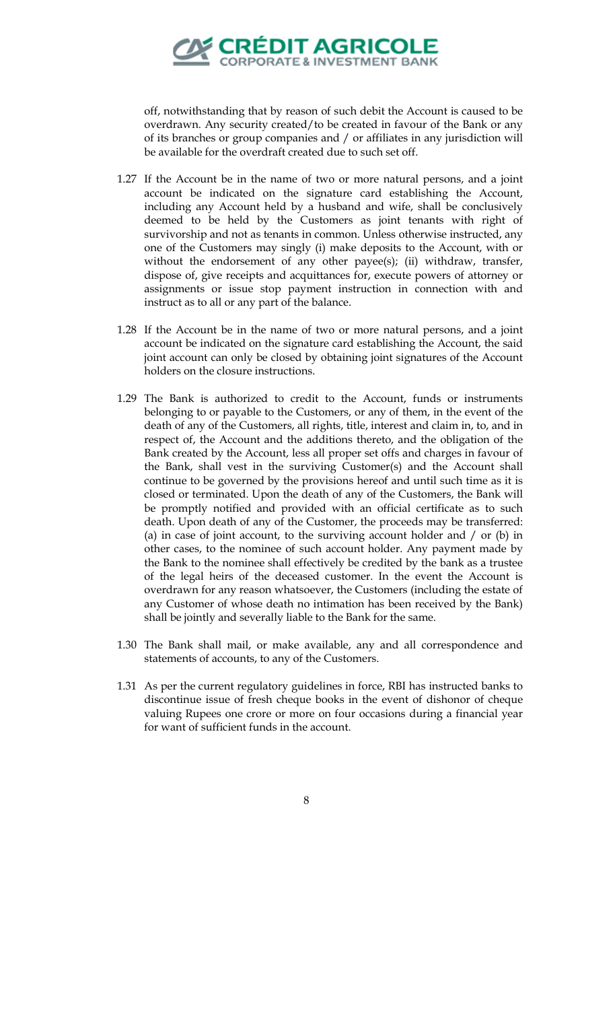

off, notwithstanding that by reason of such debit the Account is caused to be overdrawn. Any security created/to be created in favour of the Bank or any of its branches or group companies and / or affiliates in any jurisdiction will be available for the overdraft created due to such set off.

- 1.27 If the Account be in the name of two or more natural persons, and a joint account be indicated on the signature card establishing the Account, including any Account held by a husband and wife, shall be conclusively deemed to be held by the Customers as joint tenants with right of survivorship and not as tenants in common. Unless otherwise instructed, any one of the Customers may singly (i) make deposits to the Account, with or without the endorsement of any other payee(s); (ii) withdraw, transfer, dispose of, give receipts and acquittances for, execute powers of attorney or assignments or issue stop payment instruction in connection with and instruct as to all or any part of the balance.
- 1.28 If the Account be in the name of two or more natural persons, and a joint account be indicated on the signature card establishing the Account, the said joint account can only be closed by obtaining joint signatures of the Account holders on the closure instructions.
- 1.29 The Bank is authorized to credit to the Account, funds or instruments belonging to or payable to the Customers, or any of them, in the event of the death of any of the Customers, all rights, title, interest and claim in, to, and in respect of, the Account and the additions thereto, and the obligation of the Bank created by the Account, less all proper set offs and charges in favour of the Bank, shall vest in the surviving Customer(s) and the Account shall continue to be governed by the provisions hereof and until such time as it is closed or terminated. Upon the death of any of the Customers, the Bank will be promptly notified and provided with an official certificate as to such death. Upon death of any of the Customer, the proceeds may be transferred: (a) in case of joint account, to the surviving account holder and / or (b) in other cases, to the nominee of such account holder. Any payment made by the Bank to the nominee shall effectively be credited by the bank as a trustee of the legal heirs of the deceased customer. In the event the Account is overdrawn for any reason whatsoever, the Customers (including the estate of any Customer of whose death no intimation has been received by the Bank) shall be jointly and severally liable to the Bank for the same.
- 1.30 The Bank shall mail, or make available, any and all correspondence and statements of accounts, to any of the Customers.
- 1.31 As per the current regulatory guidelines in force, RBI has instructed banks to discontinue issue of fresh cheque books in the event of dishonor of cheque valuing Rupees one crore or more on four occasions during a financial year for want of sufficient funds in the account.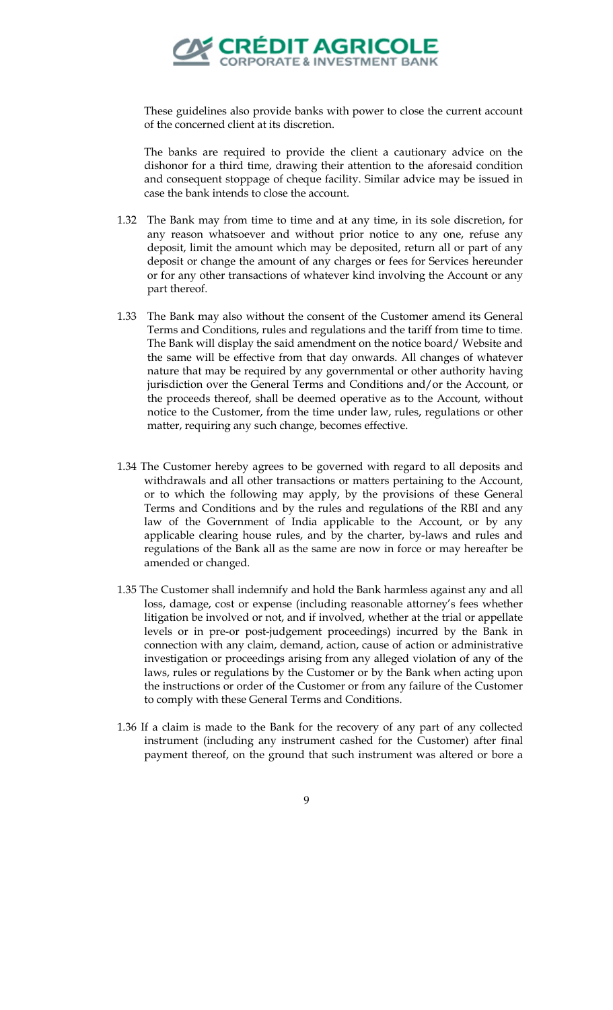

These guidelines also provide banks with power to close the current account of the concerned client at its discretion.

The banks are required to provide the client a cautionary advice on the dishonor for a third time, drawing their attention to the aforesaid condition and consequent stoppage of cheque facility. Similar advice may be issued in case the bank intends to close the account.

- 1.32 The Bank may from time to time and at any time, in its sole discretion, for any reason whatsoever and without prior notice to any one, refuse any deposit, limit the amount which may be deposited, return all or part of any deposit or change the amount of any charges or fees for Services hereunder or for any other transactions of whatever kind involving the Account or any part thereof.
- 1.33 The Bank may also without the consent of the Customer amend its General Terms and Conditions, rules and regulations and the tariff from time to time. The Bank will display the said amendment on the notice board/ Website and the same will be effective from that day onwards. All changes of whatever nature that may be required by any governmental or other authority having jurisdiction over the General Terms and Conditions and/or the Account, or the proceeds thereof, shall be deemed operative as to the Account, without notice to the Customer, from the time under law, rules, regulations or other matter, requiring any such change, becomes effective.
- 1.34 The Customer hereby agrees to be governed with regard to all deposits and withdrawals and all other transactions or matters pertaining to the Account, or to which the following may apply, by the provisions of these General Terms and Conditions and by the rules and regulations of the RBI and any law of the Government of India applicable to the Account, or by any applicable clearing house rules, and by the charter, by-laws and rules and regulations of the Bank all as the same are now in force or may hereafter be amended or changed.
- 1.35 The Customer shall indemnify and hold the Bank harmless against any and all loss, damage, cost or expense (including reasonable attorney's fees whether litigation be involved or not, and if involved, whether at the trial or appellate levels or in pre-or post-judgement proceedings) incurred by the Bank in connection with any claim, demand, action, cause of action or administrative investigation or proceedings arising from any alleged violation of any of the laws, rules or regulations by the Customer or by the Bank when acting upon the instructions or order of the Customer or from any failure of the Customer to comply with these General Terms and Conditions.
- 1.36 If a claim is made to the Bank for the recovery of any part of any collected instrument (including any instrument cashed for the Customer) after final payment thereof, on the ground that such instrument was altered or bore a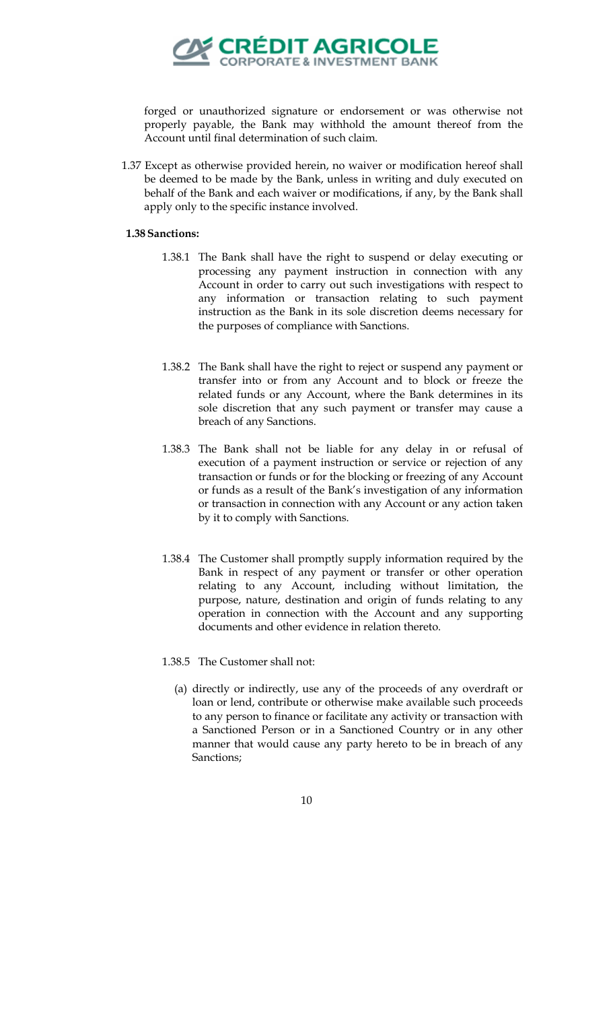

forged or unauthorized signature or endorsement or was otherwise not properly payable, the Bank may withhold the amount thereof from the Account until final determination of such claim.

1.37 Except as otherwise provided herein, no waiver or modification hereof shall be deemed to be made by the Bank, unless in writing and duly executed on behalf of the Bank and each waiver or modifications, if any, by the Bank shall apply only to the specific instance involved.

## **1.38Sanctions:**

- 1.38.1 The Bank shall have the right to suspend or delay executing or processing any payment instruction in connection with any Account in order to carry out such investigations with respect to any information or transaction relating to such payment instruction as the Bank in its sole discretion deems necessary for the purposes of compliance with Sanctions.
- 1.38.2 The Bank shall have the right to reject or suspend any payment or transfer into or from any Account and to block or freeze the related funds or any Account, where the Bank determines in its sole discretion that any such payment or transfer may cause a breach of any Sanctions.
- 1.38.3 The Bank shall not be liable for any delay in or refusal of execution of a payment instruction or service or rejection of any transaction or funds or for the blocking or freezing of any Account or funds as a result of the Bank's investigation of any information or transaction in connection with any Account or any action taken by it to comply with Sanctions.
- 1.38.4 The Customer shall promptly supply information required by the Bank in respect of any payment or transfer or other operation relating to any Account, including without limitation, the purpose, nature, destination and origin of funds relating to any operation in connection with the Account and any supporting documents and other evidence in relation thereto.
- 1.38.5 The Customer shall not:
	- (a) directly or indirectly, use any of the proceeds of any overdraft or loan or lend, contribute or otherwise make available such proceeds to any person to finance or facilitate any activity or transaction with a Sanctioned Person or in a Sanctioned Country or in any other manner that would cause any party hereto to be in breach of any Sanctions;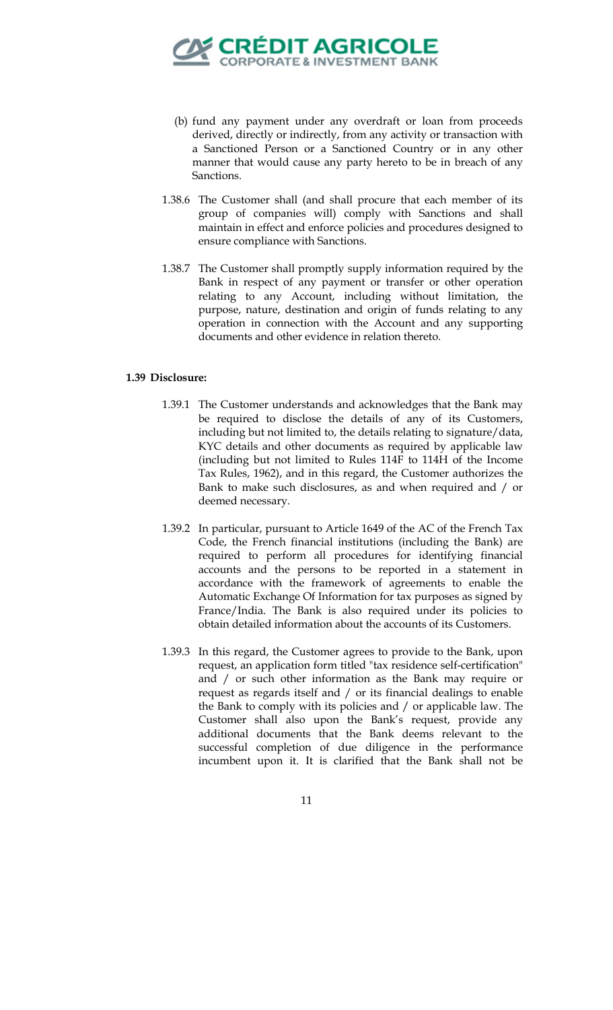

- (b) fund any payment under any overdraft or loan from proceeds derived, directly or indirectly, from any activity or transaction with a Sanctioned Person or a Sanctioned Country or in any other manner that would cause any party hereto to be in breach of any Sanctions.
- 1.38.6 The Customer shall (and shall procure that each member of its group of companies will) comply with Sanctions and shall maintain in effect and enforce policies and procedures designed to ensure compliance with Sanctions.
- 1.38.7 The Customer shall promptly supply information required by the Bank in respect of any payment or transfer or other operation relating to any Account, including without limitation, the purpose, nature, destination and origin of funds relating to any operation in connection with the Account and any supporting documents and other evidence in relation thereto.

## **1.39 Disclosure:**

- 1.39.1 The Customer understands and acknowledges that the Bank may be required to disclose the details of any of its Customers, including but not limited to, the details relating to signature/data, KYC details and other documents as required by applicable law (including but not limited to Rules 114F to 114H of the Income Tax Rules, 1962), and in this regard, the Customer authorizes the Bank to make such disclosures, as and when required and / or deemed necessary.
- 1.39.2 In particular, pursuant to Article 1649 of the AC of the French Tax Code, the French financial institutions (including the Bank) are required to perform all procedures for identifying financial accounts and the persons to be reported in a statement in accordance with the framework of agreements to enable the Automatic Exchange Of Information for tax purposes as signed by France/India. The Bank is also required under its policies to obtain detailed information about the accounts of its Customers.
- 1.39.3 In this regard, the Customer agrees to provide to the Bank, upon request, an application form titled "tax residence self-certification" and / or such other information as the Bank may require or request as regards itself and / or its financial dealings to enable the Bank to comply with its policies and / or applicable law. The Customer shall also upon the Bank's request, provide any additional documents that the Bank deems relevant to the successful completion of due diligence in the performance incumbent upon it. It is clarified that the Bank shall not be
	- 11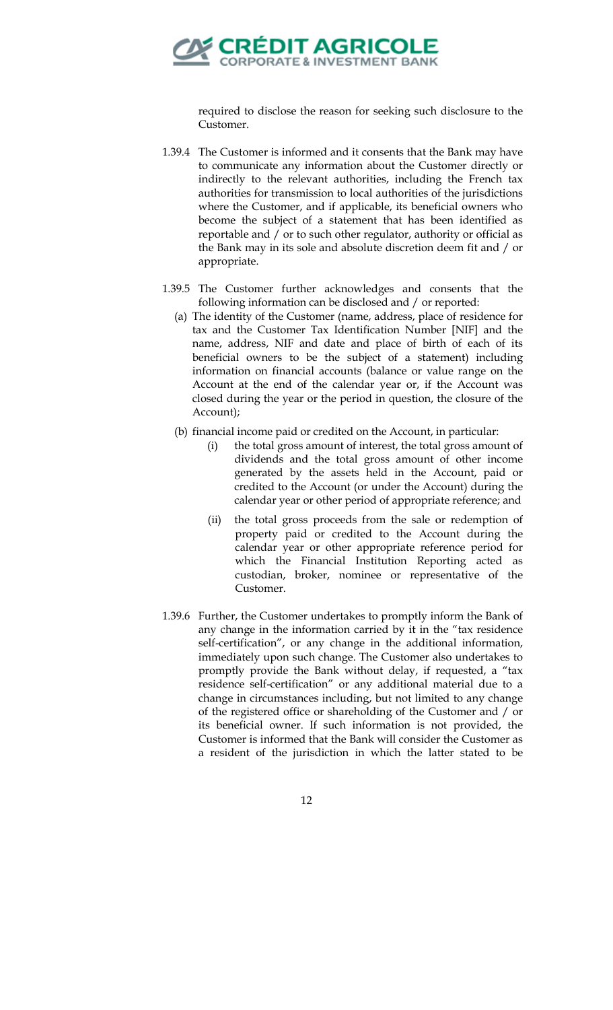

required to disclose the reason for seeking such disclosure to the Customer.

- 1.39.4 The Customer is informed and it consents that the Bank may have to communicate any information about the Customer directly or indirectly to the relevant authorities, including the French tax authorities for transmission to local authorities of the jurisdictions where the Customer, and if applicable, its beneficial owners who become the subject of a statement that has been identified as reportable and / or to such other regulator, authority or official as the Bank may in its sole and absolute discretion deem fit and / or appropriate.
- 1.39.5 The Customer further acknowledges and consents that the following information can be disclosed and / or reported:
	- (a) The identity of the Customer (name, address, place of residence for tax and the Customer Tax Identification Number [NIF] and the name, address, NIF and date and place of birth of each of its beneficial owners to be the subject of a statement) including information on financial accounts (balance or value range on the Account at the end of the calendar year or, if the Account was closed during the year or the period in question, the closure of the Account);
	- (b) financial income paid or credited on the Account, in particular:
		- (i) the total gross amount of interest, the total gross amount of dividends and the total gross amount of other income generated by the assets held in the Account, paid or credited to the Account (or under the Account) during the calendar year or other period of appropriate reference; and
		- (ii) the total gross proceeds from the sale or redemption of property paid or credited to the Account during the calendar year or other appropriate reference period for which the Financial Institution Reporting acted as custodian, broker, nominee or representative of the Customer.
- 1.39.6 Further, the Customer undertakes to promptly inform the Bank of any change in the information carried by it in the "tax residence self-certification", or any change in the additional information, immediately upon such change. The Customer also undertakes to promptly provide the Bank without delay, if requested, a "tax residence self-certification" or any additional material due to a change in circumstances including, but not limited to any change of the registered office or shareholding of the Customer and / or its beneficial owner. If such information is not provided, the Customer is informed that the Bank will consider the Customer as a resident of the jurisdiction in which the latter stated to be